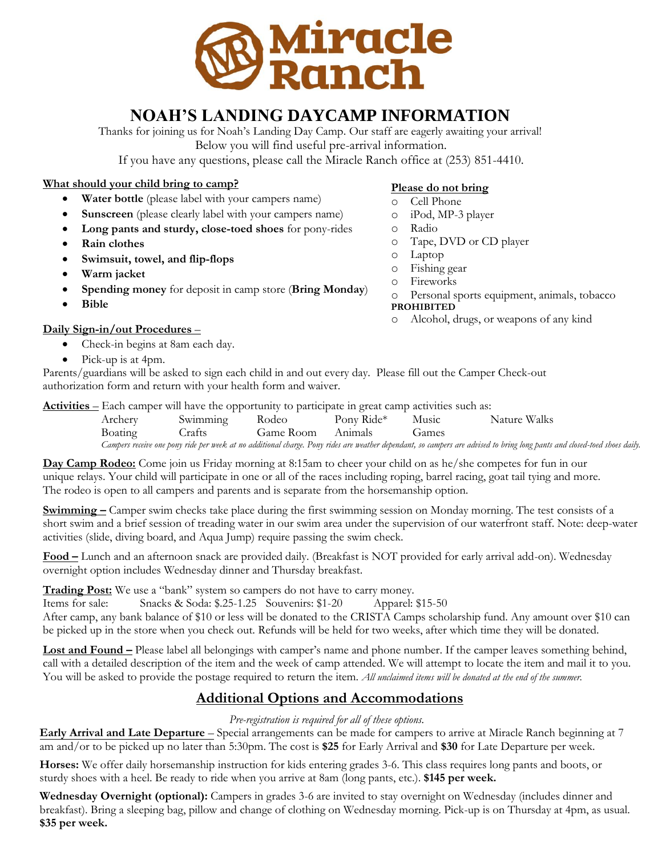

# **NOAH'S LANDING DAYCAMP INFORMATION**

Thanks for joining us for Noah's Landing Day Camp. Our staff are eagerly awaiting your arrival! Below you will find useful pre-arrival information.

If you have any questions, please call the Miracle Ranch office at (253) 851-4410.

#### **What should your child bring to camp?**

- **Water bottle** (please label with your campers name)
- **Sunscreen** (please clearly label with your campers name)
- **Long pants and sturdy, close-toed shoes** for pony-rides
- **Rain clothes**
- **Swimsuit, towel, and flip-flops**
- **Warm jacket**
- **Spending money** for deposit in camp store (**Bring Monday**)
- **Bible**

### **Daily Sign-in/out Procedures** –

- Check-in begins at 8am each day.
- Pick-up is at 4pm.

## Parents/guardians will be asked to sign each child in and out every day. Please fill out the Camper Check-out authorization form and return with your health form and waiver.

**Activities** – Each camper will have the opportunity to participate in great camp activities such as:

| Archery | Swimming | $-$ . In the set of the state of the set of the state of the state of the state of the state of the state of the state of the state of the state of the state of the state of the state of the state of the state of the stat<br>Rodeo | Pony Ride* | Music | Nature Walks                                                                                                                                                              |
|---------|----------|----------------------------------------------------------------------------------------------------------------------------------------------------------------------------------------------------------------------------------------|------------|-------|---------------------------------------------------------------------------------------------------------------------------------------------------------------------------|
| Boating | Crafts   | Game Room Animals                                                                                                                                                                                                                      |            | Games |                                                                                                                                                                           |
|         |          |                                                                                                                                                                                                                                        |            |       | Campers receive one pony ride per week at no additional charge. Pony rides are weather dependant, so campers are advised to bring long pants and closed-toed shoes daily. |

**Day Camp Rodeo:** Come join us Friday morning at 8:15am to cheer your child on as he/she competes for fun in our unique relays. Your child will participate in one or all of the races including roping, barrel racing, goat tail tying and more. The rodeo is open to all campers and parents and is separate from the horsemanship option.

**Swimming –** Camper swim checks take place during the first swimming session on Monday morning. The test consists of a short swim and a brief session of treading water in our swim area under the supervision of our waterfront staff. Note: deep-water activities (slide, diving board, and Aqua Jump) require passing the swim check.

**Food –** Lunch and an afternoon snack are provided daily. (Breakfast is NOT provided for early arrival add-on). Wednesday overnight option includes Wednesday dinner and Thursday breakfast.

**Trading Post:** We use a "bank" system so campers do not have to carry money.

Items for sale: Snacks & Soda: \$.25-1.25 Souvenirs: \$1-20 Apparel: \$15-50

After camp, any bank balance of \$10 or less will be donated to the CRISTA Camps scholarship fund. Any amount over \$10 can be picked up in the store when you check out. Refunds will be held for two weeks, after which time they will be donated.

**Lost and Found –** Please label all belongings with camper's name and phone number. If the camper leaves something behind, call with a detailed description of the item and the week of camp attended. We will attempt to locate the item and mail it to you. You will be asked to provide the postage required to return the item. *All unclaimed items will be donated at the end of the summer.* 

## **Additional Options and Accommodations**

#### *Pre-registration is required for all of these options.*

**Early Arrival and Late Departure** – Special arrangements can be made for campers to arrive at Miracle Ranch beginning at 7 am and/or to be picked up no later than 5:30pm. The cost is **\$25** for Early Arrival and **\$30** for Late Departure per week.

**Horses:** We offer daily horsemanship instruction for kids entering grades 3-6. This class requires long pants and boots, or sturdy shoes with a heel. Be ready to ride when you arrive at 8am (long pants, etc.). **\$145 per week.** 

**Wednesday Overnight (optional):** Campers in grades 3-6 are invited to stay overnight on Wednesday (includes dinner and breakfast). Bring a sleeping bag, pillow and change of clothing on Wednesday morning. Pick-up is on Thursday at 4pm, as usual. **\$35 per week.** 

## **Please do not bring**

- o Cell Phone
- o iPod, MP-3 player
- o Radio
- o Tape, DVD or CD player
- o Laptop
- o Fishing gear
- o Fireworks
- o Personal sports equipment, animals, tobacco **PROHIBITED**
- o Alcohol, drugs, or weapons of any kind